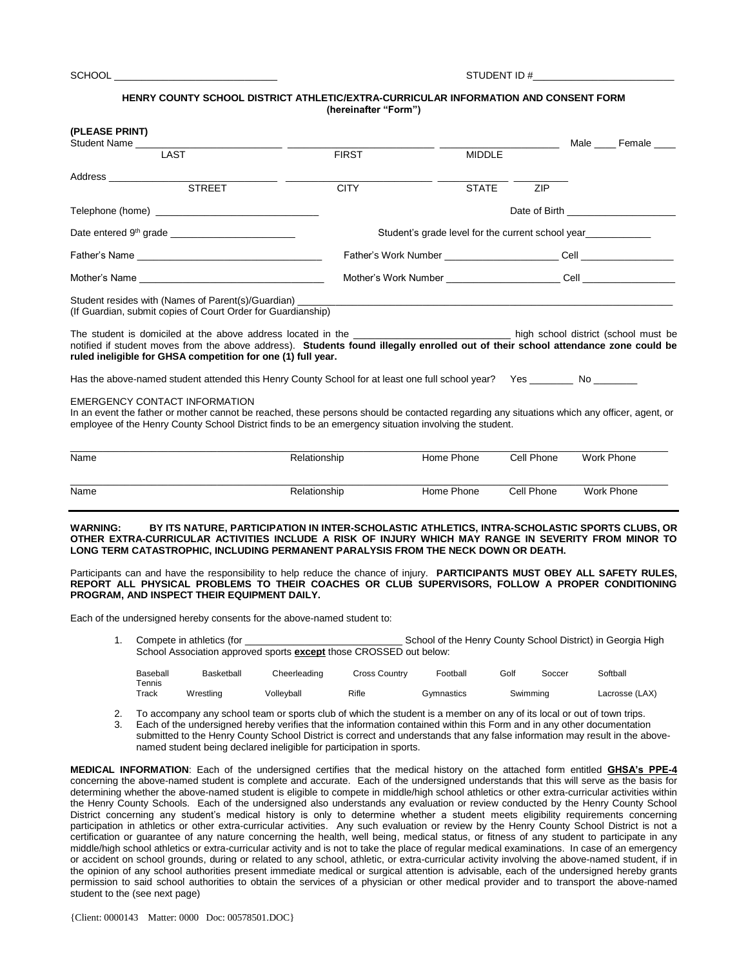## **HENRY COUNTY SCHOOL DISTRICT ATHLETIC/EXTRA-CURRICULAR INFORMATION AND CONSENT FORM (hereinafter "Form")**

| (PLEASE PRINT)<br>Student Name                                                                                                                                                                                                                                                         |                                                   |               |            | Male Female       |  |  |  |  |  |  |
|----------------------------------------------------------------------------------------------------------------------------------------------------------------------------------------------------------------------------------------------------------------------------------------|---------------------------------------------------|---------------|------------|-------------------|--|--|--|--|--|--|
| <b>I AST</b>                                                                                                                                                                                                                                                                           | <b>FIRST</b>                                      | <b>MIDDLE</b> |            |                   |  |  |  |  |  |  |
| Address<br>$\overline{\text{STREET}}$ $-$                                                                                                                                                                                                                                              | <b>CITY</b>                                       | <b>STATE</b>  | ZIP        |                   |  |  |  |  |  |  |
|                                                                                                                                                                                                                                                                                        |                                                   |               |            |                   |  |  |  |  |  |  |
|                                                                                                                                                                                                                                                                                        | Student's grade level for the current school year |               |            |                   |  |  |  |  |  |  |
|                                                                                                                                                                                                                                                                                        |                                                   |               |            |                   |  |  |  |  |  |  |
| Mother's Name                                                                                                                                                                                                                                                                          |                                                   |               |            |                   |  |  |  |  |  |  |
| (If Guardian, submit copies of Court Order for Guardianship)                                                                                                                                                                                                                           |                                                   |               |            |                   |  |  |  |  |  |  |
| notified if student moves from the above address). Students found illegally enrolled out of their school attendance zone could be<br>ruled ineligible for GHSA competition for one (1) full year.                                                                                      |                                                   |               |            |                   |  |  |  |  |  |  |
| Has the above-named student attended this Henry County School for at least one full school year? Yes ________ No ________                                                                                                                                                              |                                                   |               |            |                   |  |  |  |  |  |  |
| EMERGENCY CONTACT INFORMATION<br>In an event the father or mother cannot be reached, these persons should be contacted regarding any situations which any officer, agent, or<br>employee of the Henry County School District finds to be an emergency situation involving the student. |                                                   |               |            |                   |  |  |  |  |  |  |
| Name                                                                                                                                                                                                                                                                                   | Relationship                                      | Home Phone    | Cell Phone | <b>Work Phone</b> |  |  |  |  |  |  |
| Name                                                                                                                                                                                                                                                                                   | Relationship                                      | Home Phone    | Cell Phone | <b>Work Phone</b> |  |  |  |  |  |  |

## **WARNING: BY ITS NATURE, PARTICIPATION IN INTER-SCHOLASTIC ATHLETICS, INTRA-SCHOLASTIC SPORTS CLUBS, OR OTHER EXTRA-CURRICULAR ACTIVITIES INCLUDE A RISK OF INJURY WHICH MAY RANGE IN SEVERITY FROM MINOR TO LONG TERM CATASTROPHIC, INCLUDING PERMANENT PARALYSIS FROM THE NECK DOWN OR DEATH.**

Participants can and have the responsibility to help reduce the chance of injury. **PARTICIPANTS MUST OBEY ALL SAFETY RULES, REPORT ALL PHYSICAL PROBLEMS TO THEIR COACHES OR CLUB SUPERVISORS, FOLLOW A PROPER CONDITIONING PROGRAM, AND INSPECT THEIR EQUIPMENT DAILY.**

Each of the undersigned hereby consents for the above-named student to:

1. Compete in athletics (for  $\blacksquare$   $\blacksquare$   $\blacksquare$  School of the Henry County School District) in Georgia High School Association approved sports **except** those CROSSED out below:

| Baseball<br>$\tau$ ennis<br>Track | Basketball | Cheerleading | <b>Cross Country</b> | Football   | Golf     | Soccer | Softball       |
|-----------------------------------|------------|--------------|----------------------|------------|----------|--------|----------------|
|                                   | Wrestlina  | Vollevball   | Rifle                | Gvmnastics | Swimmina |        | Lacrosse (LAX) |

2. To accompany any school team or sports club of which the student is a member on any of its local or out of town trips. 3. Each of the undersigned hereby verifies that the information contained within this Form and in any other documentation submitted to the Henry County School District is correct and understands that any false information may result in the abovenamed student being declared ineligible for participation in sports.

**MEDICAL INFORMATION**: Each of the undersigned certifies that the medical history on the attached form entitled **GHSA's PPE-4** concerning the above-named student is complete and accurate. Each of the undersigned understands that this will serve as the basis for determining whether the above-named student is eligible to compete in middle/high school athletics or other extra-curricular activities within the Henry County Schools. Each of the undersigned also understands any evaluation or review conducted by the Henry County School District concerning any student's medical history is only to determine whether a student meets eligibility requirements concerning participation in athletics or other extra-curricular activities. Any such evaluation or review by the Henry County School District is not a certification or guarantee of any nature concerning the health, well being, medical status, or fitness of any student to participate in any middle/high school athletics or extra-curricular activity and is not to take the place of regular medical examinations. In case of an emergency or accident on school grounds, during or related to any school, athletic, or extra-curricular activity involving the above-named student, if in the opinion of any school authorities present immediate medical or surgical attention is advisable, each of the undersigned hereby grants permission to said school authorities to obtain the services of a physician or other medical provider and to transport the above-named student to the (see next page)